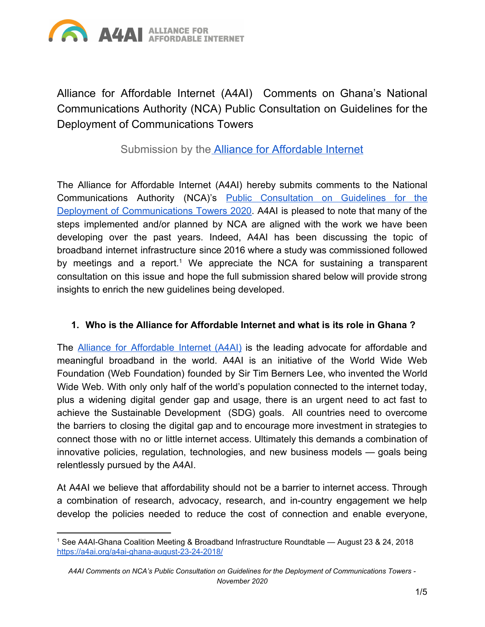

Alliance for Affordable Internet (A4AI) Comments on Ghana's National Communications Authority (NCA) Public Consultation on Guidelines for the Deployment of Communications Towers

Submission by the **Alliance for [Affordable](http://a4ai.org/) Internet** 

The Alliance for Affordable Internet (A4AI) hereby submits comments to the National Communications Authority (NCA)'s Public [Consultation](https://www.nca.org.gh/assets/Draft-Guidelines-for-the-Deployment-of-Communications-Towers-2019-with-Inputs-from-Key-Stakeholders.pdf) on Guidelines for the Deployment of [Communications](https://www.nca.org.gh/assets/Draft-Guidelines-for-the-Deployment-of-Communications-Towers-2019-with-Inputs-from-Key-Stakeholders.pdf) Towers 2020. A4AI is pleased to note that many of the steps implemented and/or planned by NCA are aligned with the work we have been developing over the past years. Indeed, A4AI has been discussing the topic of broadband internet infrastructure since 2016 where a study was commissioned followed by meetings and a report.<sup>1</sup> We appreciate the NCA for sustaining a transparent consultation on this issue and hope the full submission shared below will provide strong insights to enrich the new guidelines being developed.

## **1. Who is the Alliance for Affordable Internet and what is its role in Ghana ?**

The **Alliance for [Affordable](http://www.a4ai.org/) Internet (A4AI)** is the leading advocate for affordable and meaningful broadband in the world. A4AI is an initiative of the World Wide Web Foundation (Web Foundation) founded by Sir Tim Berners Lee, who invented the World Wide Web. With only only half of the world's population connected to the internet today, plus a widening digital gender gap and usage, there is an urgent need to act fast to achieve the Sustainable Development (SDG) goals. All countries need to overcome the barriers to closing the digital gap and to encourage more investment in strategies to connect those with no or little internet access. Ultimately this demands a combination of innovative policies, regulation, technologies, and new business models — goals being relentlessly pursued by the A4AI.

At A4AI we believe that affordability should not be a barrier to internet access. Through a combination of research, advocacy, research, and in-country engagement we help develop the policies needed to reduce the cost of connection and enable everyone,

<sup>1</sup> See A4AI-Ghana Coalition Meeting & Broadband Infrastructure Roundtable — August 23 & 24, 2018 <https://a4ai.org/a4ai-ghana-august-23-24-2018/>

*A4AI Comments on NCA's Public Consultation on Guidelines for the Deployment of Communications Towers - November 2020*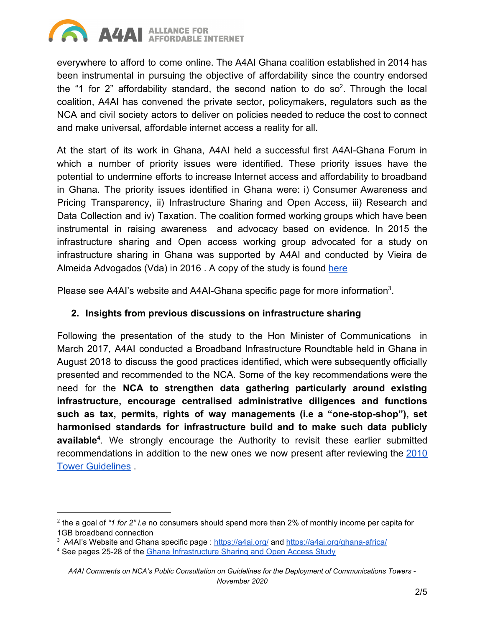

everywhere to afford to come online. The A4AI Ghana coalition established in 2014 has been instrumental in pursuing the objective of affordability since the country endorsed the "1 for 2" affordability standard, the second nation to do so<sup>2</sup>. Through the local coalition, A4AI has convened the private sector, policymakers, regulators such as the NCA and civil society actors to deliver on policies needed to reduce the cost to connect and make universal, affordable internet access a reality for all.

At the start of its work in Ghana, A4AI held a successful first A4AI-Ghana Forum in which a number of priority issues were identified. These priority issues have the potential to undermine efforts to increase Internet access and affordability to broadband in Ghana. The priority issues identified in Ghana were: i) Consumer Awareness and Pricing Transparency, ii) Infrastructure Sharing and Open Access, iii) Research and Data Collection and iv) Taxation. The coalition formed working groups which have been instrumental in raising awareness and advocacy based on evidence. In 2015 the infrastructure sharing and Open access working group advocated for a study on infrastructure sharing in Ghana was supported by A4AI and conducted by Vieira de Almeida Advogados (Vda) in 2016. A copy of the study is found [here](https://1e8q3q16vyc81g8l3h3md6q5f5e-wpengine.netdna-ssl.com/wp-content/uploads/2014/02/GhanaReport-FinalReport07.02.2017-5-1.pdf)

Please see A4AI's website and A4AI-Ghana specific page for more information<sup>3</sup>.

## **2. Insights from previous discussions on infrastructure sharing**

Following the presentation of the study to the Hon Minister of Communications in March 2017, A4AI conducted a Broadband Infrastructure Roundtable held in Ghana in August 2018 to discuss the good practices identified, which were subsequently officially presented and recommended to the NCA. Some of the key recommendations were the need for the **NCA to strengthen data gathering particularly around existing infrastructure, encourage centralised administrative diligences and functions such as tax, permits, rights of way managements (i.e a "one-stop-shop"), set harmonised standards for infrastructure build and to make such data publicly available<sup>4</sup>.** We strongly encourage the Authority to revisit these earlier submitted recommendations in addition to the new ones we now present after reviewing the [2010](https://www.nca.org.gh/assets/Uploads/Communications-Towers-Guidelines3.pdf) [Tower Guidelines](https://www.nca.org.gh/assets/Uploads/Communications-Towers-Guidelines3.pdf) .

<sup>2</sup> the a goal of *"1 for 2" i.e* no consumers should spend more than 2% of monthly income per capita for 1GB broadband connection

<sup>&</sup>lt;sup>3</sup> A4AI's Website and Ghana specific page : <https://a4ai.org/> and <https://a4ai.org/ghana-africa/>

<sup>4</sup> See pages 25-28 of the Ghana [Infrastructure](https://1e8q3q16vyc81g8l3h3md6q5f5e-wpengine.netdna-ssl.com/wp-content/uploads/2014/02/GhanaReport-FinalReport07.02.2017-5-1.pdf) Sharing and Open Access Study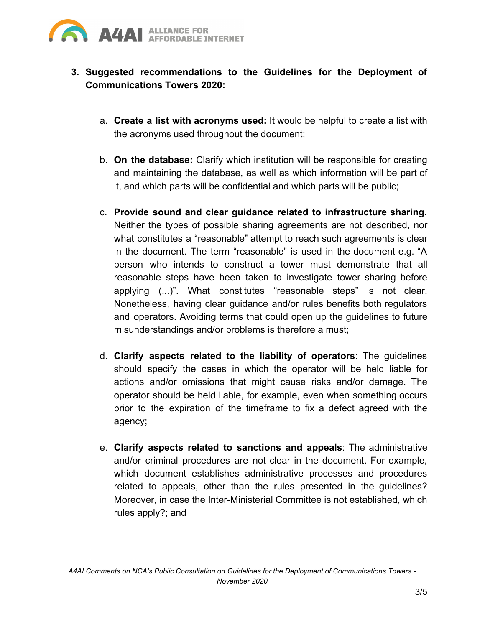

- **3. Suggested recommendations to the Guidelines for the Deployment of Communications Towers 2020:**
	- a. **Create a list with acronyms used:** It would be helpful to create a list with the acronyms used throughout the document;
	- b. **On the database:** Clarify which institution will be responsible for creating and maintaining the database, as well as which information will be part of it, and which parts will be confidential and which parts will be public;
	- c. **Provide sound and clear guidance related to infrastructure sharing.** Neither the types of possible sharing agreements are not described, nor what constitutes a "reasonable" attempt to reach such agreements is clear in the document. The term "reasonable" is used in the document e.g. "A person who intends to construct a tower must demonstrate that all reasonable steps have been taken to investigate tower sharing before applying (...)". What constitutes "reasonable steps" is not clear. Nonetheless, having clear guidance and/or rules benefits both regulators and operators. Avoiding terms that could open up the guidelines to future misunderstandings and/or problems is therefore a must;
	- d. **Clarify aspects related to the liability of operators**: The guidelines should specify the cases in which the operator will be held liable for actions and/or omissions that might cause risks and/or damage. The operator should be held liable, for example, even when something occurs prior to the expiration of the timeframe to fix a defect agreed with the agency;
	- e. **Clarify aspects related to sanctions and appeals**: The administrative and/or criminal procedures are not clear in the document. For example, which document establishes administrative processes and procedures related to appeals, other than the rules presented in the guidelines? Moreover, in case the Inter-Ministerial Committee is not established, which rules apply?; and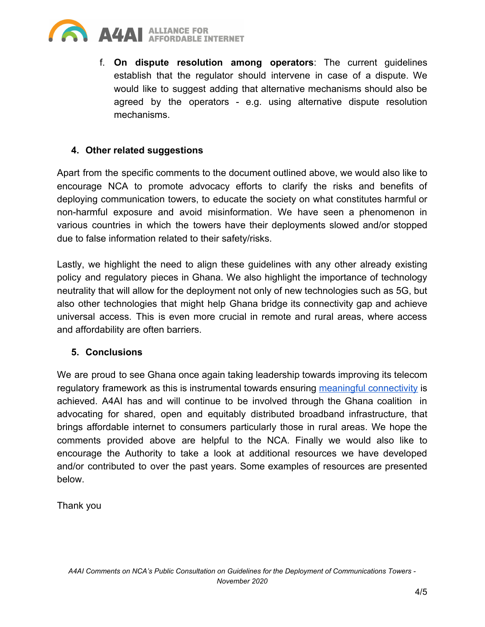

f. **On dispute resolution among operators**: The current guidelines establish that the regulator should intervene in case of a dispute. We would like to suggest adding that alternative mechanisms should also be agreed by the operators - e.g. using alternative dispute resolution mechanisms.

## **4. Other related suggestions**

Apart from the specific comments to the document outlined above, we would also like to encourage NCA to promote advocacy efforts to clarify the risks and benefits of deploying communication towers, to educate the society on what constitutes harmful or non-harmful exposure and avoid misinformation. We have seen a phenomenon in various countries in which the towers have their deployments slowed and/or stopped due to false information related to their safety/risks.

Lastly, we highlight the need to align these guidelines with any other already existing policy and regulatory pieces in Ghana. We also highlight the importance of technology neutrality that will allow for the deployment not only of new technologies such as 5G, but also other technologies that might help Ghana bridge its connectivity gap and achieve universal access. This is even more crucial in remote and rural areas, where access and affordability are often barriers.

## **5. Conclusions**

We are proud to see Ghana once again taking leadership towards improving its telecom regulatory framework as this is instrumental towards ensuring meaningful [connectivity](https://a4ai.org/meaningful-connectivity/) is achieved. A4AI has and will continue to be involved through the Ghana coalition in advocating for shared, open and equitably distributed broadband infrastructure, that brings affordable internet to consumers particularly those in rural areas. We hope the comments provided above are helpful to the NCA. Finally we would also like to encourage the Authority to take a look at additional resources we have developed and/or contributed to over the past years. Some examples of resources are presented below.

Thank you